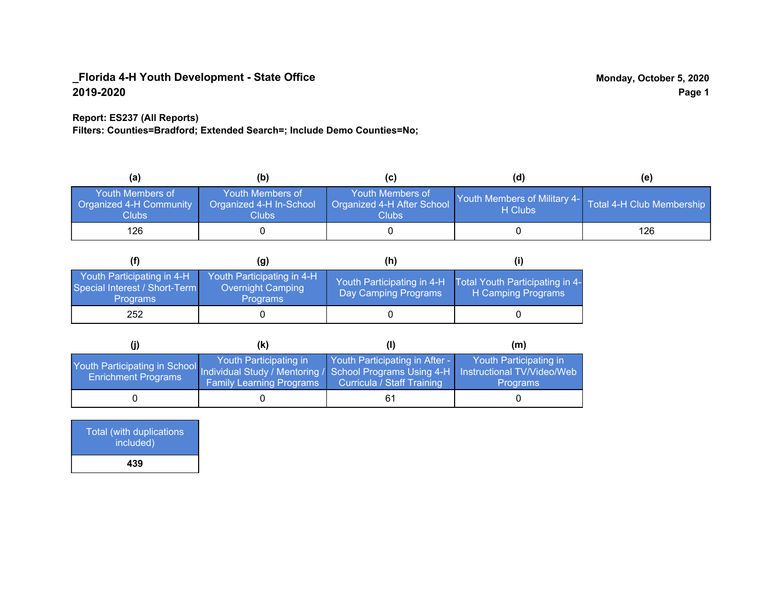### **Report: ES237 (All Reports)**

**Filters: Counties=Bradford; Extended Search=; Include Demo Counties=No;**

| (a                                                                 | (b)                                                  | (C)                                                       | (d)                                                               | (e) |
|--------------------------------------------------------------------|------------------------------------------------------|-----------------------------------------------------------|-------------------------------------------------------------------|-----|
| <b>Youth Members of</b><br><b>Organized 4-H Community</b><br>Clubs | Youth Members of<br>Organized 4-H In-School<br>Clubs | Youth Members of<br>Organized 4-H After School<br>Clubs : | Youth Members of Military 4- Total 4-H Club Membership<br>H Clubs |     |
| 126                                                                |                                                      |                                                           |                                                                   | 126 |

|                                                                                | (g)                                                                | (h)                                                |                                                       |
|--------------------------------------------------------------------------------|--------------------------------------------------------------------|----------------------------------------------------|-------------------------------------------------------|
| Youth Participating in 4-H<br>Special Interest / Short-Term<br><b>Programs</b> | Youth Participating in 4-H<br>Overnight Camping<br><b>Programs</b> | Youth Participating in 4-H<br>Day Camping Programs | Total Youth Participating in 4-<br>H Camping Programs |
| 252                                                                            |                                                                    |                                                    |                                                       |

|                                                                                                                                                 | (k)                                                       |                                                              | (m)                                       |
|-------------------------------------------------------------------------------------------------------------------------------------------------|-----------------------------------------------------------|--------------------------------------------------------------|-------------------------------------------|
| Youth Participating in School Individual Study / Mentoring / School Programs Using 4-H Instructional TV/Video/Web<br><b>Enrichment Programs</b> | Youth Participating in<br><b>Family Learning Programs</b> | Youth Participating in After -<br>Curricula / Staff Training | Youth Participating in<br><b>Programs</b> |
|                                                                                                                                                 |                                                           | 61                                                           |                                           |

| Total (with duplications<br>included) |
|---------------------------------------|
| 439                                   |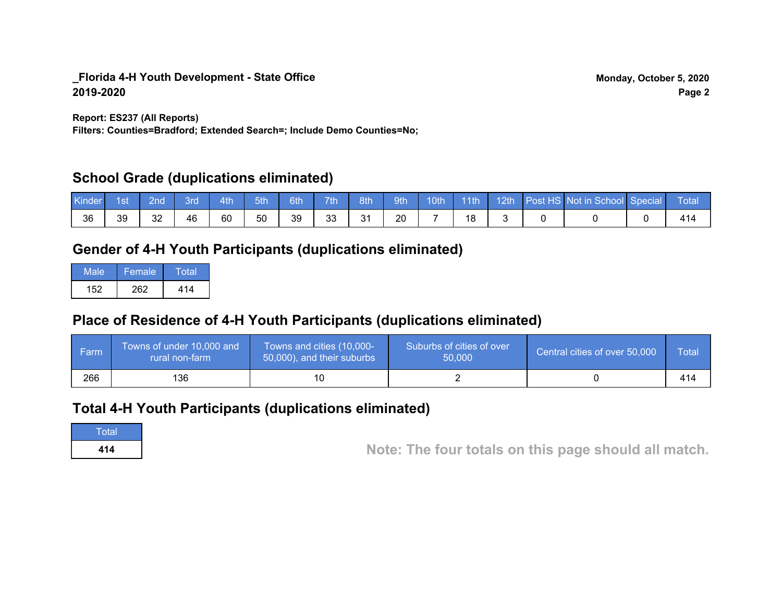**Report: ES237 (All Reports)**

**Filters: Counties=Bradford; Extended Search=; Include Demo Counties=No;**

## **School Grade (duplications eliminated)**

| Kinde | 1st | 2nd' | Brd | 4th | 5th | 6th | 7th | 8th | 9th | 10th | $-11$ th | 12th | Post HS Not in School Special | Total |
|-------|-----|------|-----|-----|-----|-----|-----|-----|-----|------|----------|------|-------------------------------|-------|
| 36    | 39  | 32   | 46  | 60  | 50  | 39  | 33  | 31  | 20  |      | 18       |      |                               |       |

## **Gender of 4-H Youth Participants (duplications eliminated)**

| Male | Female | Total |
|------|--------|-------|
| 152  | 262    | 414   |

## **Place of Residence of 4-H Youth Participants (duplications eliminated)**

| Farm | Towns of under 10,000 and<br>rural non-farm | Towns and cities (10,000-<br>50,000), and their suburbs | Suburbs of cities of over<br>50,000 | Central cities of over 50,000 | Total |
|------|---------------------------------------------|---------------------------------------------------------|-------------------------------------|-------------------------------|-------|
| 266  | 136                                         |                                                         |                                     |                               | 414   |

## **Total 4-H Youth Participants (duplications eliminated)**

**Total** 

**<sup>414</sup> Note: The four totals on this page should all match.**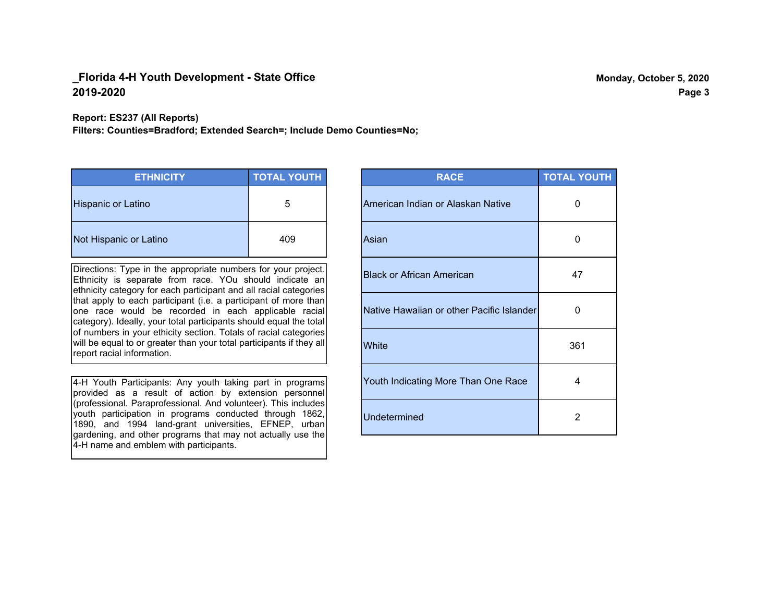**Report: ES237 (All Reports)**

**Filters: Counties=Bradford; Extended Search=; Include Demo Counties=No;**

| <b>ETHNICITY</b>       | <b>TOTAL YOUTH</b> |
|------------------------|--------------------|
| Hispanic or Latino     | 5                  |
| Not Hispanic or Latino | 409                |

Directions: Type in the appropriate numbers for your project. Ethnicity is separate from race. YOu should indicate an ethnicity category for each participant and all racial categories that apply to each participant (i.e. a participant of more than one race would be recorded in each applicable racial category). Ideally, your total participants should equal the total of numbers in your ethicity section. Totals of racial categories will be equal to or greater than your total participants if they all report racial information.

4-H Youth Participants: Any youth taking part in programs provided as a result of action by extension personnel (professional. Paraprofessional. And volunteer). This includes youth participation in programs conducted through 1862, 1890, and 1994 land-grant universities, EFNEP, urban gardening, and other programs that may not actually use the 4-H name and emblem with participants.

| <b>RACE</b>                               | <b>TOTAL YOUTH</b> |
|-------------------------------------------|--------------------|
| American Indian or Alaskan Native         | O                  |
| Asian                                     | O                  |
| <b>Black or African American</b>          | 47                 |
| Native Hawaiian or other Pacific Islander | 0                  |
| White                                     | 361                |
| Youth Indicating More Than One Race       | 4                  |
| <b>Undetermined</b>                       | 2                  |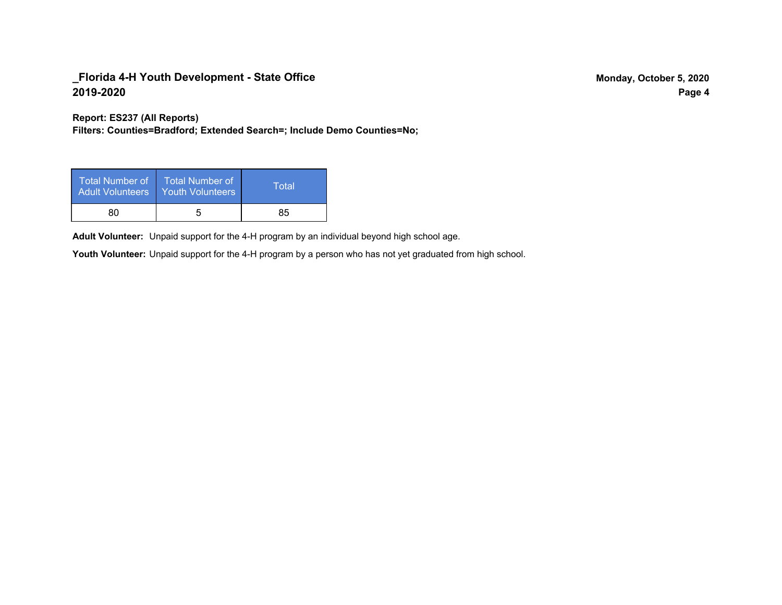**Report: ES237 (All Reports)**

**Filters: Counties=Bradford; Extended Search=; Include Demo Counties=No;**

| Total Number of<br><b>Adult Volunteers</b> | <b>Total Number of</b><br><b>Youth Volunteers</b> | Total |
|--------------------------------------------|---------------------------------------------------|-------|
| 80                                         |                                                   | 85    |

Adult Volunteer: Unpaid support for the 4-H program by an individual beyond high school age.

Youth Volunteer: Unpaid support for the 4-H program by a person who has not yet graduated from high school.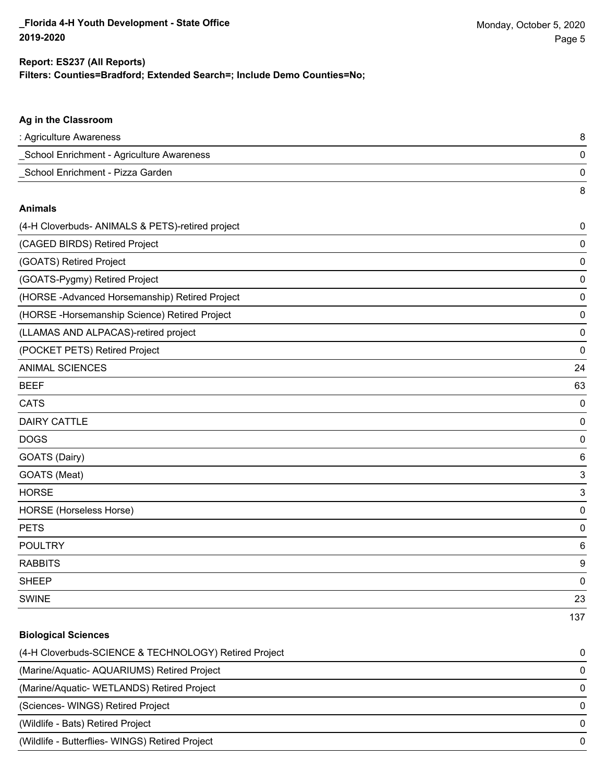#### **Filters: Counties=Bradford; Extended Search=; Include Demo Counties=No; Report: ES237 (All Reports)**

# **Ag in the Classroom** : Agriculture Awareness 8 \_School Enrichment - Agriculture Awareness 0 \_School Enrichment - Pizza Garden 0 8 **Animals** (4-H Cloverbuds- ANIMALS & PETS)-retired project 0 (CAGED BIRDS) Retired Project 0 (GOATS) Retired Project 0 (GOATS-Pygmy) Retired Project 0 (HORSE -Advanced Horsemanship) Retired Project 0 (HORSE -Horsemanship Science) Retired Project 0 (LLAMAS AND ALPACAS)-retired project 0 (POCKET PETS) Retired Project 0 ANIMAL SCIENCES 24  $BEEF$  63 CATS 0 DAIRY CATTLE 0 DOGS 0 GOATS (Dairy) 6 GOATS (Meat) 3 HORSE 3 HORSE (Horseless Horse) 0 PETS 0 POULTRY 6 RABBITS 9 sheep to the control of the control of the control of the control of the control of the control of the control of the control of the control of the control of the control of the control of the control of the control of the SWINE 23 137

## **Biological Sciences** (4-H Cloverbuds-SCIENCE & TECHNOLOGY) Retired Project 0 (Marine/Aquatic- AQUARIUMS) Retired Project 0 (Marine/Aquatic- WETLANDS) Retired Project 0 (Sciences- WINGS) Retired Project 0 (Wildlife - Bats) Retired Project 0 (Wildlife - Butterflies- WINGS) Retired Project 0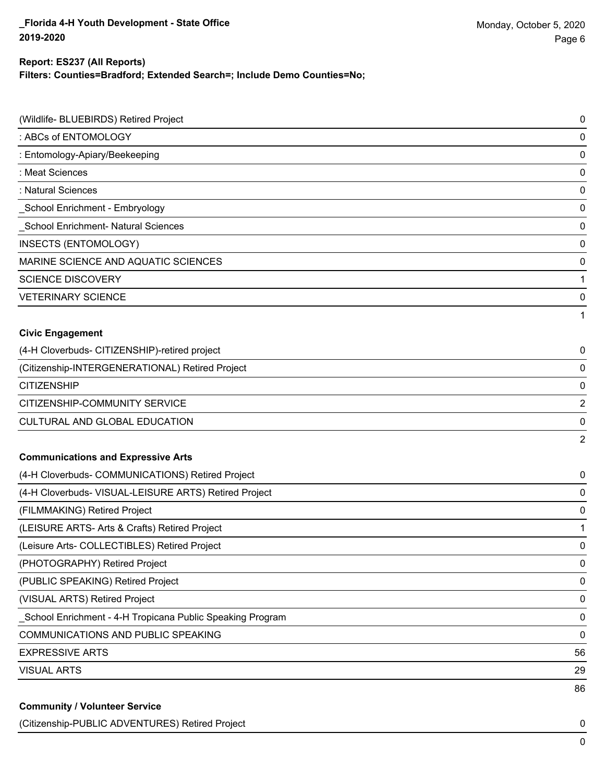### **Report: ES237 (All Reports)**

**Filters: Counties=Bradford; Extended Search=; Include Demo Counties=No;**

| <b>Community / Volunteer Service</b>                                                                    |                |
|---------------------------------------------------------------------------------------------------------|----------------|
|                                                                                                         | 86             |
| <b>VISUAL ARTS</b>                                                                                      | 29             |
| <b>EXPRESSIVE ARTS</b>                                                                                  | 0<br>56        |
| _School Enrichment - 4-H Tropicana Public Speaking Program<br><b>COMMUNICATIONS AND PUBLIC SPEAKING</b> | 0              |
| (VISUAL ARTS) Retired Project                                                                           | 0              |
| (PUBLIC SPEAKING) Retired Project                                                                       | 0              |
| (PHOTOGRAPHY) Retired Project                                                                           | 0              |
| (Leisure Arts- COLLECTIBLES) Retired Project                                                            | $\mathbf 0$    |
| (LEISURE ARTS- Arts & Crafts) Retired Project                                                           | 1              |
| (FILMMAKING) Retired Project                                                                            | 0              |
| (4-H Cloverbuds- VISUAL-LEISURE ARTS) Retired Project                                                   | 0              |
| (4-H Cloverbuds- COMMUNICATIONS) Retired Project                                                        | 0              |
| <b>Communications and Expressive Arts</b>                                                               |                |
|                                                                                                         | $\overline{2}$ |
| CULTURAL AND GLOBAL EDUCATION                                                                           | 0              |
| CITIZENSHIP-COMMUNITY SERVICE                                                                           | $\overline{2}$ |
| <b>CITIZENSHIP</b>                                                                                      | 0              |
| (Citizenship-INTERGENERATIONAL) Retired Project                                                         | 0              |
| (4-H Cloverbuds- CITIZENSHIP)-retired project                                                           | 0              |
| <b>Civic Engagement</b>                                                                                 |                |
|                                                                                                         | 1              |
| <b>VETERINARY SCIENCE</b>                                                                               | 0              |
| <b>SCIENCE DISCOVERY</b>                                                                                | 1              |
| MARINE SCIENCE AND AQUATIC SCIENCES                                                                     | 0              |
| INSECTS (ENTOMOLOGY)                                                                                    | 0              |
| School Enrichment- Natural Sciences                                                                     | 0              |
| School Enrichment - Embryology                                                                          | 0              |
| : Natural Sciences                                                                                      | 0              |
| : Meat Sciences                                                                                         | 0              |
| : Entomology-Apiary/Beekeeping                                                                          | 0              |
| : ABCs of ENTOMOLOGY                                                                                    | 0              |
| (Wildlife- BLUEBIRDS) Retired Project                                                                   | 0              |

(Citizenship-PUBLIC ADVENTURES) Retired Project 0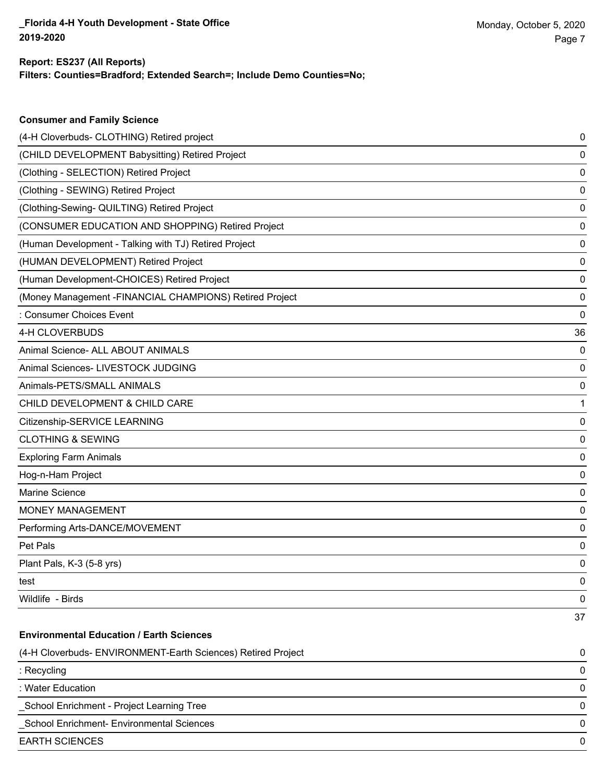**Consumer and Family Science**

### **Filters: Counties=Bradford; Extended Search=; Include Demo Counties=No; Report: ES237 (All Reports)**

| (4-H Cloverbuds- CLOTHING) Retired project                   | 0  |
|--------------------------------------------------------------|----|
| (CHILD DEVELOPMENT Babysitting) Retired Project              | 0  |
| (Clothing - SELECTION) Retired Project                       | 0  |
| (Clothing - SEWING) Retired Project                          | 0  |
| (Clothing-Sewing- QUILTING) Retired Project                  | 0  |
| (CONSUMER EDUCATION AND SHOPPING) Retired Project            | 0  |
| (Human Development - Talking with TJ) Retired Project        | 0  |
| (HUMAN DEVELOPMENT) Retired Project                          | 0  |
| (Human Development-CHOICES) Retired Project                  | 0  |
| (Money Management -FINANCIAL CHAMPIONS) Retired Project      | 0  |
| : Consumer Choices Event                                     | 0  |
| 4-H CLOVERBUDS                                               | 36 |
| Animal Science- ALL ABOUT ANIMALS                            | 0  |
| Animal Sciences- LIVESTOCK JUDGING                           | 0  |
| Animals-PETS/SMALL ANIMALS                                   | 0  |
| CHILD DEVELOPMENT & CHILD CARE                               | 1  |
| Citizenship-SERVICE LEARNING                                 | 0  |
| <b>CLOTHING &amp; SEWING</b>                                 | 0  |
| <b>Exploring Farm Animals</b>                                | 0  |
| Hog-n-Ham Project                                            | 0  |
| Marine Science                                               | 0  |
| <b>MONEY MANAGEMENT</b>                                      | 0  |
| Performing Arts-DANCE/MOVEMENT                               | 0  |
| Pet Pals                                                     | 0  |
| Plant Pals, K-3 (5-8 yrs)                                    | 0  |
| test                                                         | 0  |
| Wildlife - Birds                                             | 0  |
|                                                              | 37 |
| <b>Environmental Education / Earth Sciences</b>              |    |
| (4-H Cloverbuds- ENVIRONMENT-Earth Sciences) Retired Project | 0  |
| : Recycling                                                  | 0  |
| : Water Education                                            | 0  |
| School Enrichment - Project Learning Tree                    | 0  |
| School Enrichment- Environmental Sciences                    | 0  |
| <b>EARTH SCIENCES</b>                                        | 0  |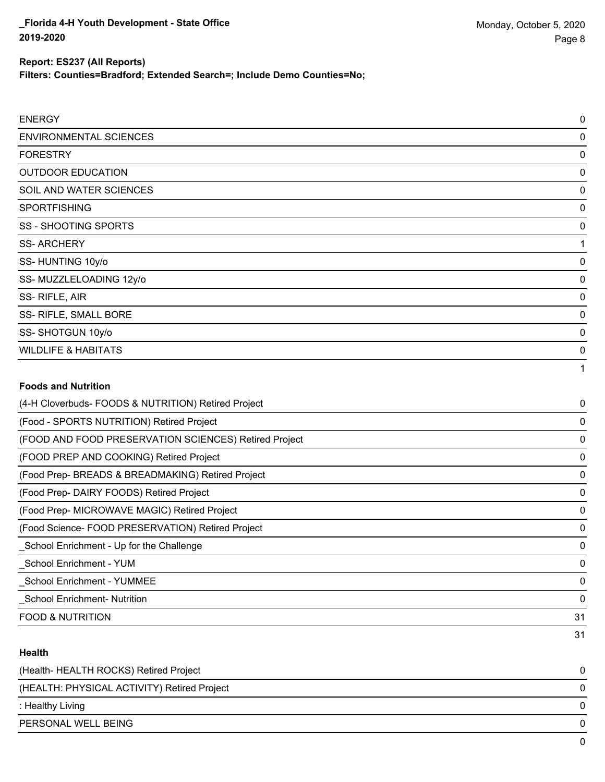31

### **Report: ES237 (All Reports)**

**Filters: Counties=Bradford; Extended Search=; Include Demo Counties=No;**

| <b>ENERGY</b>                                         | $\mathbf 0$ |
|-------------------------------------------------------|-------------|
| <b>ENVIRONMENTAL SCIENCES</b>                         | 0           |
| <b>FORESTRY</b>                                       | 0           |
| <b>OUTDOOR EDUCATION</b>                              | 0           |
| SOIL AND WATER SCIENCES                               | 0           |
| <b>SPORTFISHING</b>                                   | 0           |
| <b>SS - SHOOTING SPORTS</b>                           | 0           |
| <b>SS-ARCHERY</b>                                     | 1           |
| SS-HUNTING 10y/o                                      | 0           |
| SS- MUZZLELOADING 12y/o                               | $\mathbf 0$ |
| SS-RIFLE, AIR                                         | 0           |
| SS- RIFLE, SMALL BORE                                 | $\mathbf 0$ |
| SS-SHOTGUN 10y/o                                      | 0           |
| <b>WILDLIFE &amp; HABITATS</b>                        | 0           |
|                                                       | 1           |
| <b>Foods and Nutrition</b>                            |             |
| (4-H Cloverbuds- FOODS & NUTRITION) Retired Project   | 0           |
| (Food - SPORTS NUTRITION) Retired Project             | 0           |
| (FOOD AND FOOD PRESERVATION SCIENCES) Retired Project | 0           |
| (FOOD PREP AND COOKING) Retired Project               | 0           |
| (Food Prep- BREADS & BREADMAKING) Retired Project     | 0           |
| (Food Prep- DAIRY FOODS) Retired Project              | $\mathbf 0$ |
| (Food Prep- MICROWAVE MAGIC) Retired Project          | 0           |
| (Food Science- FOOD PRESERVATION) Retired Project     | 0           |
| School Enrichment - Up for the Challenge              | $\mathbf 0$ |
| _School Enrichment - YUM                              | 0           |
| _School Enrichment - YUMMEE                           | $\mathbf 0$ |
| <b>School Enrichment- Nutrition</b>                   | 0           |

#### **Health**

| (Health-HEALTH ROCKS) Retired Project       | 0            |
|---------------------------------------------|--------------|
| (HEALTH: PHYSICAL ACTIVITY) Retired Project | 0            |
| : Healthy Living                            | 0            |
| PERSONAL WELL BEING                         | 0            |
|                                             | <sup>n</sup> |

FOOD & NUTRITION 31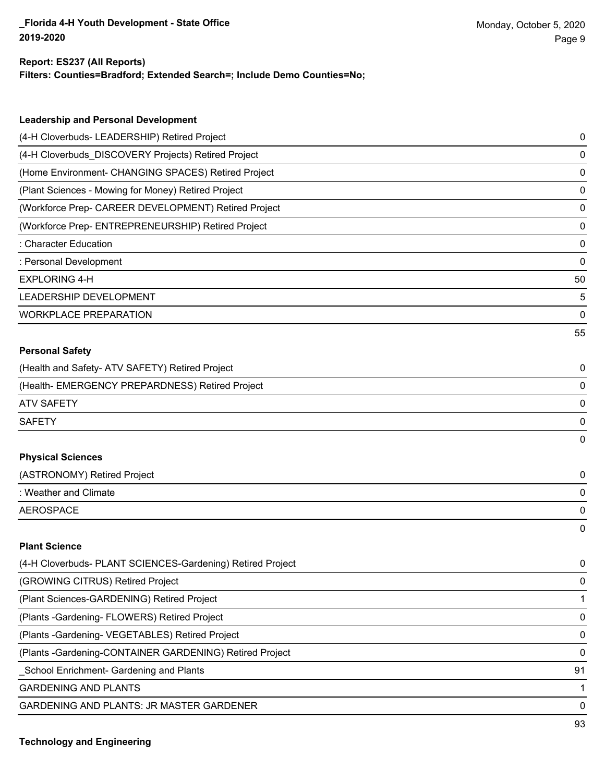### **Report: ES237 (All Reports)**

**Filters: Counties=Bradford; Extended Search=; Include Demo Counties=No;**

| <b>Leadership and Personal Development</b>                 |    |
|------------------------------------------------------------|----|
| (4-H Cloverbuds- LEADERSHIP) Retired Project               | 0  |
| (4-H Cloverbuds_DISCOVERY Projects) Retired Project        | 0  |
| (Home Environment- CHANGING SPACES) Retired Project        | 0  |
| (Plant Sciences - Mowing for Money) Retired Project        | 0  |
| (Workforce Prep- CAREER DEVELOPMENT) Retired Project       | 0  |
| (Workforce Prep- ENTREPRENEURSHIP) Retired Project         | 0  |
| : Character Education                                      | 0  |
| : Personal Development                                     | 0  |
| <b>EXPLORING 4-H</b>                                       | 50 |
| LEADERSHIP DEVELOPMENT                                     | 5  |
| <b>WORKPLACE PREPARATION</b>                               | 0  |
|                                                            | 55 |
| <b>Personal Safety</b>                                     |    |
| (Health and Safety- ATV SAFETY) Retired Project            | 0  |
| (Health- EMERGENCY PREPARDNESS) Retired Project            | 0  |
| <b>ATV SAFETY</b>                                          | 0  |
| <b>SAFETY</b>                                              | 0  |
|                                                            | 0  |
| <b>Physical Sciences</b>                                   |    |
| (ASTRONOMY) Retired Project                                | 0  |
| : Weather and Climate                                      | 0  |
| <b>AEROSPACE</b>                                           | 0  |
|                                                            | 0  |
| <b>Plant Science</b>                                       |    |
| (4-H Cloverbuds- PLANT SCIENCES-Gardening) Retired Project | 0  |
| (GROWING CITRUS) Retired Project                           | 0  |
| (Plant Sciences-GARDENING) Retired Project                 | 1  |
| (Plants - Gardening - FLOWERS) Retired Project             | 0  |
| (Plants - Gardening - VEGETABLES) Retired Project          | 0  |
|                                                            |    |

(Plants -Gardening-CONTAINER GARDENING) Retired Project 0

\_School Enrichment- Gardening and Plants 91

GARDENING AND PLANTS 1

GARDENING AND PLANTS: JR MASTER GARDENER 0